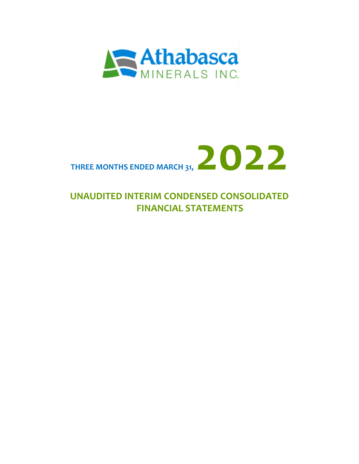



# **UNAUDITED INTERIM CONDENSED CONSOLIDATED FINANCIAL STATEMENTS**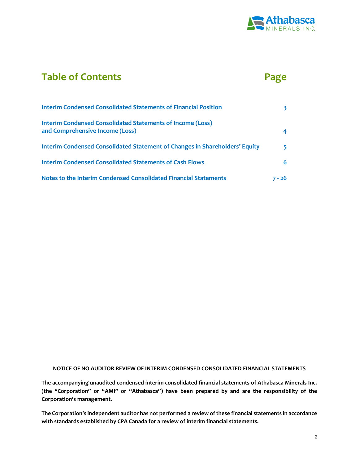

# **Table of Contents Page**

| <b>Interim Condensed Consolidated Statements of Financial Position</b>                               |        |
|------------------------------------------------------------------------------------------------------|--------|
| <b>Interim Condensed Consolidated Statements of Income (Loss)</b><br>and Comprehensive Income (Loss) |        |
| Interim Condensed Consolidated Statement of Changes in Shareholders' Equity                          | 5.     |
| <b>Interim Condensed Consolidated Statements of Cash Flows</b>                                       | 6      |
| Notes to the Interim Condensed Consolidated Financial Statements                                     | 7 - 26 |

#### **NOTICE OF NO AUDITOR REVIEW OF INTERIM CONDENSED CONSOLIDATED FINANCIAL STATEMENTS**

**The accompanying unaudited condensed interim consolidated financial statements of Athabasca Minerals Inc. (the "Corporation" or "AMI" or "Athabasca") have been prepared by and are the responsibility of the Corporation's management.** 

**The Corporation's independent auditor has not performed a review of these financial statements in accordance with standards established by CPA Canada for a review of interim financial statements.**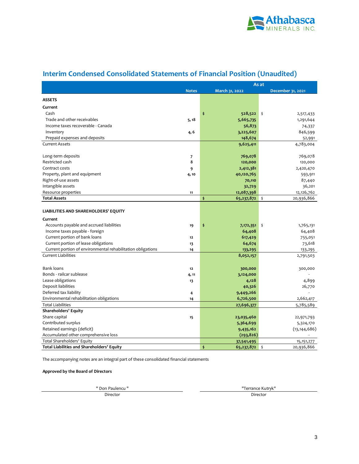

## **Interim Condensed Consolidated Statements of Financial Position (Unaudited)**

|                                                             |                          |                  | As at             |
|-------------------------------------------------------------|--------------------------|------------------|-------------------|
|                                                             | <b>Notes</b>             | March 31, 2022   | December 31, 2021 |
| <b>ASSETS</b>                                               |                          |                  |                   |
| Current                                                     |                          |                  |                   |
| Cash                                                        |                          | \$<br>528,522    | ∥ \$<br>2,517,433 |
| Trade and other receivables                                 | 5, 18                    | 5,665,735        | 1,291,644         |
| Income taxes recoverable - Canada                           |                          | 56,873           | 74,337            |
| Inventory                                                   | 4, 6                     | 3,225,607        | 846,599           |
| Prepaid expenses and deposits                               |                          | 148,674          | 52,991            |
| <b>Current Assets</b>                                       |                          | 9,625,411        | 4,783,004         |
|                                                             |                          |                  |                   |
| Long-term deposits                                          | $\overline{\phantom{a}}$ | 769,078          | 769,078           |
| Restricted cash                                             | 8                        | 120,000          | 120,000           |
| Contract costs                                              | 9                        | 2,412,381        | 2,420,470         |
| Property, plant and equipment                               | 4,10                     | 40,120,765       | 593,911           |
| Right-of-use assets                                         |                          | 70,110           | 87,440            |
| Intangible assets                                           |                          | 32,729           | 36,201            |
| Resource properties                                         | 11                       | 12,087,398       | 12,126,762        |
| <b>Total Assets</b>                                         |                          | \$<br>65,237,872 | 20,936,866<br>\$  |
|                                                             |                          |                  |                   |
| LIABILITIES AND SHAREHOLDERS' EQUITY                        |                          |                  |                   |
| Current                                                     |                          |                  |                   |
| Accounts payable and accrued liabilities                    | 19                       | \$<br>7,172,351  | \$<br>1,765,131   |
| Income taxes payable - foreign                              |                          | 64,408           | 64,408            |
| Current portion of bank loans                               | 12                       | 617,429          | 755,051           |
| Current portion of lease obligations                        | 13                       | 64,674           | 73,618            |
| Current portion of environmental rehabilitation obligations | 14                       | 133,295          | 133,295           |
| <b>Current Liabilities</b>                                  |                          | 8,052,157        | 2,791,503         |
|                                                             |                          |                  |                   |
| <b>Bank loans</b>                                           | 12                       | 300,000          | 300,000           |
| Bonds - railcar sublease                                    | 4, 11                    | 3,124,000        |                   |
| Lease obligations                                           | 13                       | 4,128            | 4,899             |
| Deposit liabilities                                         |                          | 40,326           | 26,770            |
| Deferred tax liability                                      | 4                        | 9,449,266        |                   |
| Environmental rehabilitation obligations                    | 14                       | 6,726,500        | 2,662,417         |
| <b>Total Liabilities</b>                                    |                          | 27,696,377       | 5,785,589         |
| Shareholders' Equity                                        |                          |                  |                   |
| Share capital                                               | 15                       | 23,035,460       | 22,971,793        |
| Contributed surplus                                         |                          | 5,364,699        | 5,324,170         |
| Retained earnings (deficit)                                 |                          | 9,435,162        | (13, 144, 686)    |
| Accumulated other comprehensive loss                        |                          | (293, 826)       |                   |
| Total Shareholders' Equity                                  |                          | 37,541,495       | 15, 151, 277      |
| <b>Total Liabilities and Shareholders' Equity</b>           |                          | \$<br>65,237,872 | \$<br>20,936,866  |

The accompanying notes are an integral part of these consolidated financial statements

**Approved by the Board of Directors**

" Don Paulencu "

Director Director

"Terrance Kutryk"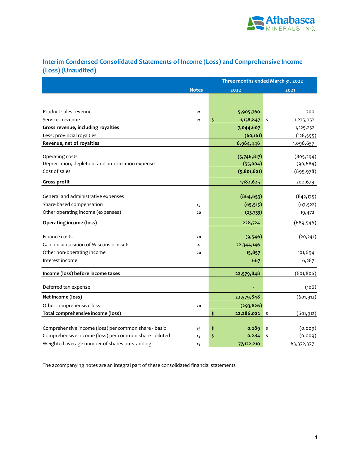

### **Interim Condensed Consolidated Statements of Income (Loss) and Comprehensive Income (Loss) (Unaudited)**

|                                                                      |              | Three months ended March 31, 2022 |                         |  |  |  |  |
|----------------------------------------------------------------------|--------------|-----------------------------------|-------------------------|--|--|--|--|
|                                                                      | <b>Notes</b> | 2022                              | 2021                    |  |  |  |  |
|                                                                      |              |                                   |                         |  |  |  |  |
|                                                                      |              |                                   |                         |  |  |  |  |
| Product sales revenue                                                | 21           | 5,905,760                         | 200                     |  |  |  |  |
| Services revenue                                                     | 21           | \$<br>1,138,847                   | \$<br>1,225,052         |  |  |  |  |
| Gross revenue, including royalties                                   |              | 7,044,607                         | 1,225,252               |  |  |  |  |
| Less: provincial royalties                                           |              | (60, 161)                         | (128, 595)              |  |  |  |  |
| Revenue, net of royalties                                            |              | 6,984,446                         | 1,096,657               |  |  |  |  |
|                                                                      |              |                                   |                         |  |  |  |  |
| Operating costs<br>Depreciation, depletion, and amortization expense |              | (5,746,817)<br>(55,004)           | (805, 294)<br>(90, 684) |  |  |  |  |
| Cost of sales                                                        |              | (5, 801, 821)                     | (895, 978)              |  |  |  |  |
|                                                                      |              |                                   |                         |  |  |  |  |
| Gross profit                                                         |              | 1,182,625                         | 200,679                 |  |  |  |  |
|                                                                      |              |                                   |                         |  |  |  |  |
| General and administrative expenses                                  |              | (864, 653)                        | (842, 175)              |  |  |  |  |
| Share-based compensation                                             | 15           | (65, 515)                         | (67, 522)               |  |  |  |  |
| Other operating income (expenses)                                    | 20           | (23, 733)                         | 19,472                  |  |  |  |  |
| <b>Operating income (loss)</b>                                       |              | 228,724                           | (689, 546)              |  |  |  |  |
| Finance costs                                                        | 20           | (9,546)                           | (20, 241)               |  |  |  |  |
| Gain on acquisition of Wisconsin assets                              | 4            | 22,344,146                        |                         |  |  |  |  |
| Other non-operating income                                           | 20           | 15,857                            | 101,694                 |  |  |  |  |
| Interest income                                                      |              | 667                               | 6,287                   |  |  |  |  |
|                                                                      |              |                                   |                         |  |  |  |  |
| Income (loss) before income taxes                                    |              | 22,579,848                        | (601, 806)              |  |  |  |  |
| Deferred tax expense                                                 |              |                                   | (106)                   |  |  |  |  |
| Net income (loss)                                                    |              | 22,579,848                        | (601, 912)              |  |  |  |  |
| Other comprehensive loss                                             | 20           | (293, 826)                        |                         |  |  |  |  |
| Total comprehensive income (loss)                                    |              | 22,286,022<br>\$                  | \$<br>(601, 912)        |  |  |  |  |
|                                                                      |              |                                   |                         |  |  |  |  |
| Comprehensive income (loss) per common share - basic                 | 15           | 0.289<br>\$                       | (0.009)<br>\$           |  |  |  |  |
| Comprehensive income (loss) per common share - diluted               | 15           | \$<br>0.284                       | (0.009)<br>\$           |  |  |  |  |
| Weighted average number of shares outstanding                        | 15           | 77,122,210                        | 63,372,377              |  |  |  |  |

The accompanying notes are an integral part of these consolidated financial statements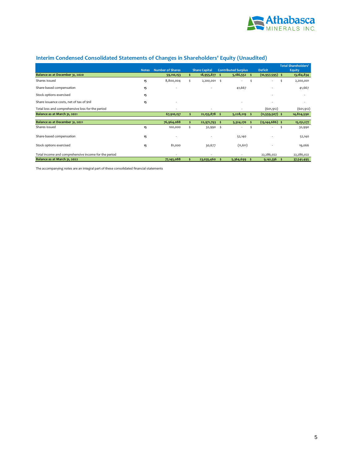

### **Interim Condensed Consolidated Statements of Changes in Shareholders' Equity (Unaudited)**

|                                                      |              |                         |    |                      |     |                            |    |                     |    | <b>Total Shareholders'</b> |
|------------------------------------------------------|--------------|-------------------------|----|----------------------|-----|----------------------------|----|---------------------|----|----------------------------|
|                                                      | <b>Notes</b> | <b>Number of Shares</b> |    | <b>Share Capital</b> |     | <b>Contributed Surplus</b> |    | <b>Deficit</b>      |    | Equity                     |
| Balance as at December 31, 2020                      |              | 59,110,153              |    | 18,955,877           | s.  | $5,186,552$ \$             |    | $(10, 957, 595)$ \$ |    | 13, 184, 834               |
| Shares issued                                        | 15           | 8,800,004               | Š. | 2,200,001            | -\$ | ٠                          | \$ | ٠                   | Ś  | 2,200,001                  |
| Share-based compensation                             | 15           | ٠                       |    |                      |     | 41,667                     |    |                     |    | 41,667                     |
| Stock options exercised                              | 15           |                         |    |                      |     |                            |    |                     |    |                            |
| Share issuance costs, net of tax of \$nil            | 15           |                         |    |                      |     |                            |    |                     |    |                            |
| Total loss and comprehensive loss for the period     |              | ٠                       |    | $\sim$               |     | ٠                          |    | (601, 912)          |    | (601, 912)                 |
| Balance as at March 31, 2021                         |              | 67,910,157              |    | 21, 155, 878         | s   | 5,228,219                  |    | $(11,559,507)$ \$   |    | 14,824,590                 |
| Balance as at December 31, 2021                      |              | 76,964,088              |    | 22,971,793           | .s  | 5,324,170                  |    | $(13, 144, 686)$ \$ |    | 15, 151, 277               |
| Shares issued                                        | 15           | 100,000                 |    | 32,990               | Ś   | ٠                          |    | ٠                   |    | 32,990                     |
| Share-based compensation                             | 15           | ٠                       |    |                      |     | 52,140                     |    |                     |    | 52,140                     |
| Stock options exercised                              | 15           | 81,000                  |    | 30,677               |     | (11, 611)                  |    |                     |    | 19,066                     |
| Total income and comprehensive income for the period |              | ٠                       |    |                      |     | ٠                          |    | 22,286,022          |    | 22,286,022                 |
| Balance as at March 31, 2022                         |              | 77,145,088              |    | 23,035,460           |     | 5,364,699                  | s  | 9,141,336           | -Ś | 37,541,495                 |

The accompanying notes are an integral part of these consolidated financial statements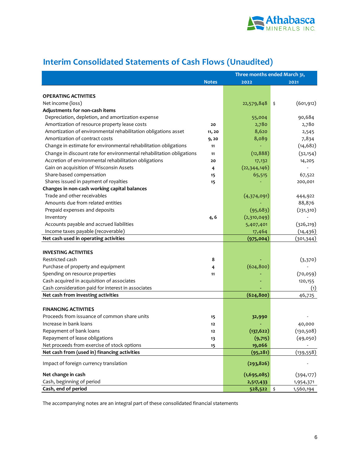

|                                                                      | Three months ended March 31, |                |      |            |  |  |
|----------------------------------------------------------------------|------------------------------|----------------|------|------------|--|--|
|                                                                      | <b>Notes</b>                 | 2022           |      | 2021       |  |  |
|                                                                      |                              |                |      |            |  |  |
| <b>OPERATING ACTIVITIES</b>                                          |                              |                |      |            |  |  |
| Net income (loss)                                                    |                              | 22,579,848     | \$   | (601, 912) |  |  |
| Adjustments for non-cash items                                       |                              |                |      |            |  |  |
| Depreciation, depletion, and amortization expense                    |                              | 55,004         |      | 90,684     |  |  |
| Amortization of resource property lease costs                        | 20                           | 2,780          |      | 2,780      |  |  |
| Amortization of environmental rehabilitation obligations asset       | 11, 20                       | 8,620          |      | 2,545      |  |  |
| Amortization of contract costs                                       | 9,20                         | 8,089          |      | 7,834      |  |  |
| Change in estimate for environmental rehabilitation obligations      | 11                           |                |      | (14, 682)  |  |  |
| Change in discount rate for environmental rehabilitation obligations | 11                           | (12, 888)      |      | (32, 154)  |  |  |
| Accretion of environmental rehabilitation obligations                | 20                           | 17,132         |      | 14,205     |  |  |
| Gain on acquisition of Wisconsin Assets                              | 4                            | (22, 344, 146) |      |            |  |  |
| Share-based compensation                                             | 15                           | 65,515         |      | 67,522     |  |  |
| Shares issued in payment of royalties                                | 15                           |                |      | 200,001    |  |  |
| Changes in non-cash working capital balances                         |                              |                |      |            |  |  |
| Trade and other receivables                                          |                              | (4,374,091)    |      | 444,922    |  |  |
| Amounts due from related entities                                    |                              |                |      | 88,876     |  |  |
| Prepaid expenses and deposits                                        |                              | (95, 683)      |      | (231,310)  |  |  |
| Inventory                                                            | 4, 6                         | (2,310,049)    |      |            |  |  |
| Accounts payable and accrued liabilities                             |                              | 5,407,401      |      | (326, 219) |  |  |
| Income taxes payable (recoverable)                                   |                              | 17,464         |      | (14, 436)  |  |  |
| Net cash used in operating activities                                |                              | (975, 004)     |      | (301, 344) |  |  |
|                                                                      |                              |                |      |            |  |  |
| <b>INVESTING ACTIVITIES</b>                                          |                              |                |      |            |  |  |
| Restricted cash                                                      | 8                            |                |      | (3,370)    |  |  |
| Purchase of property and equipment                                   | 4                            | (624, 800)     |      |            |  |  |
| Spending on resource properties                                      | 11                           |                |      | (70,059)   |  |  |
| Cash acquired in acquisition of associates                           |                              |                |      | 120,155    |  |  |
| Cash consideration paid for interest in associates                   |                              |                |      | (1)        |  |  |
| Net cash from investing activities                                   |                              | (624, 800)     |      | 46,725     |  |  |
|                                                                      |                              |                |      |            |  |  |
| <b>FINANCING ACTIVITIES</b>                                          |                              |                |      |            |  |  |
| Proceeds from issuance of common share units                         | 15                           | 32,990         |      |            |  |  |
| Increase in bank loans                                               | $12$                         |                |      | 40,000     |  |  |
| Repayment of bank loans                                              | 12                           | (137, 622)     |      | (130, 508) |  |  |
| Repayment of lease obligations                                       | 13                           | (9,715)        |      | (49,050)   |  |  |
| Net proceeds from exercise of stock options                          | 15                           | 19,066         |      |            |  |  |
| Net cash from (used in) financing activities                         |                              | (95, 281)      |      | (139,558)  |  |  |
| Impact of foreign currency translation                               |                              | (293, 826)     |      |            |  |  |
| Net change in cash                                                   |                              | (1,695,085)    |      | (394, 177) |  |  |
| Cash, beginning of period                                            |                              | 2,517,433      |      | 1,954,371  |  |  |
| Cash, end of period                                                  |                              | 528,522        | ∣ \$ | 1,560,194  |  |  |

# **Interim Consolidated Statements of Cash Flows (Unaudited)**

The accompanying notes are an integral part of these consolidated financial statements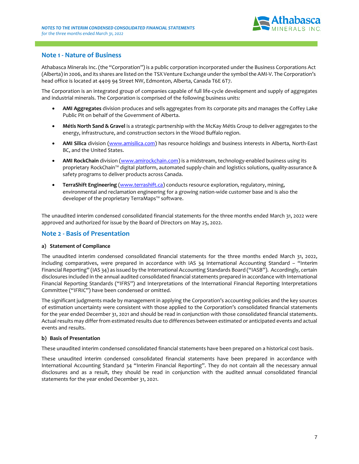

### **Note 1 - Nature of Business**

Athabasca Minerals Inc. (the "Corporation") is a public corporation incorporated under the Business Corporations Act (Alberta)in 2006, and its shares are listed on the TSX Venture Exchange under the symbol the AMI-V. The Corporation's head office is located at 4409 94 Street NW, Edmonton, Alberta, Canada T6E 6T7.

The Corporation is an integrated group of companies capable of full life-cycle development and supply of aggregates and industrial minerals. The Corporation is comprised of the following business units:

- **AMI Aggregates** division produces and sells aggregates from its corporate pits and manages the Coffey Lake Public Pit on behalf of the Government of Alberta.
- **Métis North Sand & Gravel** is a strategic partnership with the McKay Métis Group to deliver aggregates to the energy, infrastructure, and construction sectors in the Wood Buffalo region.
- **AMI Silica** division [\(www.amisilica.com\)](http://www.amisilica.com/) has resource holdings and business interests in Alberta, North-East BC, and the United States.
- **AMI RockChain** division [\(www.amirockchain.com\)](http://www.amirockchain.com/) is a midstream, technology-enabled business using its proprietary RockChain™ digital platform, automated supply-chain and logistics solutions, quality-assurance & safety programs to deliver products across Canada.
- **TerraShift Engineering** [\(www.terrashift.ca\)](http://www.terrashift.ca/) conducts resource exploration, regulatory, mining, environmental and reclamation engineering for a growing nation-wide customer base and is also the developer of the proprietary TerraMaps™ software.

The unaudited interim condensed consolidated financial statements for the three months ended March 31, 2022 were approved and authorized for issue by the Board of Directors on May 25, 2022.

### **Note 2 - Basis of Presentation**

#### **a) Statement of Compliance**

The unaudited interim condensed consolidated financial statements for the three months ended March 31, 2022, including comparatives, were prepared in accordance with IAS 34 International Accounting Standard – "Interim Financial Reporting" (IAS 34) as issued by the International Accounting Standards Board ("IASB"). Accordingly, certain disclosures included in the annual audited consolidated financial statements prepared in accordance with International Financial Reporting Standards ("IFRS") and Interpretations of the International Financial Reporting Interpretations Committee ("IFRIC") have been condensed or omitted.

The significant judgments made by management in applying the Corporation's accounting policies and the key sources of estimation uncertainty were consistent with those applied to the Corporation's consolidated financial statements for the year ended December 31, 2021 and should be read in conjunction with those consolidated financial statements. Actual results may differ from estimated results due to differences between estimated or anticipated events and actual events and results.

#### **b) Basis of Presentation**

These unaudited interim condensed consolidated financial statements have been prepared on a historical cost basis.

These unaudited interim condensed consolidated financial statements have been prepared in accordance with International Accounting Standard 34 "Interim Financial Reporting". They do not contain all the necessary annual disclosures and as a result, they should be read in conjunction with the audited annual consolidated financial statements for the year ended December 31, 2021.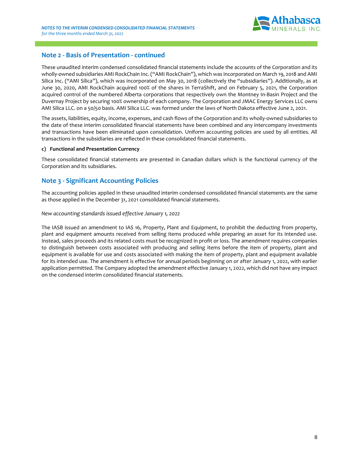

### **Note 2 - Basis of Presentation - continued**

These unaudited interim condensed consolidated financial statements include the accounts of the Corporation and its wholly-owned subsidiaries AMI RockChain Inc. ("AMI RockChain"), which was incorporated on March 19, 2018 and AMI Silica Inc. ("AMI Silica"), which was incorporated on May 30, 2018 (collectively the "subsidiaries"). Additionally, as at June 30, 2020, AMI RockChain acquired 100% of the shares in TerraShift, and on February 5, 2021, the Corporation acquired control of the numbered Alberta corporations that respectively own the Montney In-Basin Project and the Duvernay Project by securing 100% ownership of each company. The Corporation and JMAC Energy Services LLC owns AMI Silica LLC. on a 50/50 basis. AMI Silica LLC. was formed under the laws of North Dakota effective June 2, 2021.

The assets, liabilities, equity, income, expenses, and cash flows of the Corporation and its wholly-owned subsidiaries to the date of these interim consolidated financial statements have been combined and any intercompany investments and transactions have been eliminated upon consolidation. Uniform accounting policies are used by all entities. All transactions in the subsidiaries are reflected in these consolidated financial statements.

#### **c) Functional and Presentation Currency**

These consolidated financial statements are presented in Canadian dollars which is the functional currency of the Corporation and its subsidiaries.

### **Note 3 - Significant Accounting Policies**

The accounting policies applied in these unaudited interim condensed consolidated financial statements are the same as those applied in the December 31, 2021 consolidated financial statements.

#### *New accounting standards issued effective January 1, 2022*

The IASB issued an amendment to IAS 16, Property, Plant and Equipment, to prohibit the deducting from property, plant and equipment amounts received from selling items produced while preparing an asset for its intended use. Instead, sales proceeds and its related costs must be recognized in profit or loss. The amendment requires companies to distinguish between costs associated with producing and selling items before the item of property, plant and equipment is available for use and costs associated with making the item of property, plant and equipment available for its intended use. The amendment is effective for annual periods beginning on or after January 1, 2022, with earlier application permitted. The Company adopted the amendment effective January 1, 2022, which did not have any impact on the condensed interim consolidated financial statements.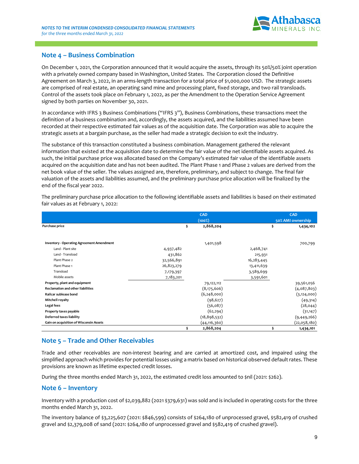

### **Note 4 – Business Combination**

On December 1, 2021, the Corporation announced that it would acquire the assets, through its 50%/50% joint operation with a privately owned company based in Washington, United States. The Corporation closed the Definitive Agreement on March 3, 2022, in an arms-length transaction for a total price of \$1,000,000 USD. The strategic assets are comprised of real estate, an operating sand mine and processing plant, fixed storage, and two rail transloads. Control of the assets took place on February 1, 2022, as per the Amendment to the Operation Service Agreement signed by both parties on November 30, 2021.

In accordance with IFRS 3 Business Combinations ("IFRS 3"), Business Combinations, these transactions meet the definition of a business combination and, accordingly, the assets acquired, and the liabilities assumed have been recorded at their respective estimated fair values as of the acquisition date. The Corporation was able to acquire the strategic assets at a bargain purchase, as the seller had made a strategic decision to exit the industry.

The substance of this transaction constituted a business combination. Management gathered the relevant information that existed at the acquisition date to determine the fair value of the net identifiable assets acquired. As such, the initial purchase price was allocated based on the Company's estimated fair value of the identifiable assets acquired on the acquisition date and has not been audited. The Plant Phase 1 and Phase 2 values are derived from the net book value of the seller. The values assigned are, therefore, preliminary, and subject to change. The final fair valuation of the assets and liabilities assumed, and the preliminary purchase price allocation will be finalized by the end of the fiscal year 2022.

|                                                                                                                            |            | CAD             |            | CAD               |
|----------------------------------------------------------------------------------------------------------------------------|------------|-----------------|------------|-------------------|
|                                                                                                                            |            | $(100\%)$       |            | 50% AMI ownership |
| Purchase price                                                                                                             |            | \$<br>2,868,204 |            | \$<br>1,434,102   |
|                                                                                                                            |            |                 |            |                   |
| <b>Inventory - Operating Agreement Amendment</b>                                                                           |            | 1,401,598       |            | 700,799           |
| Land - Plant site                                                                                                          | 4,937,482  |                 | 2,468,741  |                   |
| Land - Transload                                                                                                           | 431,862    |                 | 215,931    |                   |
| Plant Phase 2                                                                                                              | 32,566,891 |                 | 16,283,445 |                   |
| Plant Phase 1                                                                                                              | 26,823,279 |                 | 13,411,639 |                   |
| Transload                                                                                                                  | 7,179,397  |                 | 3,589,699  |                   |
| Mobile assets                                                                                                              | 7,183,201  |                 | 3,591,601  |                   |
| Property, plant and equipment                                                                                              |            | 79,122,112      |            | 39,561,056        |
| Reclamation and other liabilities                                                                                          |            | (8,175,606)     |            | (4,087,803)       |
| Railcar sublease bond                                                                                                      |            | (6, 248, 000)   |            | (3, 124, 000)     |
| <b>Mitchell royalty</b>                                                                                                    |            | (98, 627)       |            | (49,314)          |
| Legal fees                                                                                                                 |            | (56,087)        |            | (28, 044)         |
| Property taxes payable                                                                                                     |            | (62, 294)       |            | (31, 147)         |
| <b>Deferred taxes liability</b>                                                                                            |            | (18, 898, 532)  |            | (9, 449, 266)     |
| Gain on acquisition of Wisconsin Assets                                                                                    |            | (44, 116, 360)  |            | (22,058,180)      |
|                                                                                                                            |            | \$<br>2,868,204 |            | \$<br>1,434,101   |
|                                                                                                                            |            |                 |            |                   |
| Note 5 - Trade and Other Receivables                                                                                       |            |                 |            |                   |
| Trade and other receivables are non-interest bearing and are carried at amortized cost, and impaired using the             |            |                 |            |                   |
| simplified approach which provides for potential losses using a matrix based on historical observed default rates. These   |            |                 |            |                   |
| provisions are known as lifetime expected credit losses.                                                                   |            |                 |            |                   |
|                                                                                                                            |            |                 |            |                   |
| During the three months ended March 31, 2022, the estimated credit loss amounted to \$nil (2021: \$262).                   |            |                 |            |                   |
| <b>Note 6 - Inventory</b>                                                                                                  |            |                 |            |                   |
| Inventory with a production cost of \$2,039,882 (2021 \$379,631) was sold and is included in operating costs for the three |            |                 |            |                   |
| months ended March 31, 2022.                                                                                               |            |                 |            |                   |
| The inventory balance of \$3,225,607 (2021: \$846,599) consists of \$264,180 of unprocessed gravel, \$582,419 of crushed   |            |                 |            |                   |
| gravel and \$2,379,008 of sand (2021: \$264,180 of unprocessed gravel and \$582,419 of crushed gravel).                    |            |                 |            |                   |

The preliminary purchase price allocation to the following identifiable assets and liabilities is based on their estimated fair values as at February 1, 2022:

### **Note 5 – Trade and Other Receivables**

### **Note 6 – Inventory**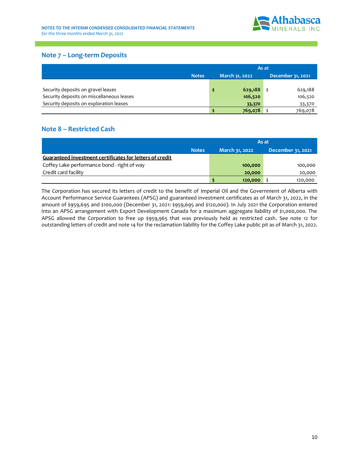

### **Note 7 – Long-term Deposits**

|                                           | As at        |  |                |  |                   |  |  |  |
|-------------------------------------------|--------------|--|----------------|--|-------------------|--|--|--|
|                                           | <b>Notes</b> |  | March 31, 2022 |  | December 31, 2021 |  |  |  |
|                                           |              |  |                |  |                   |  |  |  |
| Security deposits on gravel leases        |              |  | 629,188        |  | 629,188           |  |  |  |
| Security deposits on miscellaneous leases |              |  | 106,520        |  | 106,520           |  |  |  |
| Security deposits on exploration leases   |              |  | 33,370         |  | 33,370            |  |  |  |
|                                           |              |  | 769,078        |  | 769,078           |  |  |  |

### **Note 8 – Restricted Cash**

|                                                          | As at          |                   |  |  |  |  |  |
|----------------------------------------------------------|----------------|-------------------|--|--|--|--|--|
| <b>Notes</b>                                             | March 31, 2022 | December 31, 2021 |  |  |  |  |  |
| Guaranteed investment certificates for letters of credit |                |                   |  |  |  |  |  |
| Coffey Lake performance bond - right of way              | 100,000        | 100,000           |  |  |  |  |  |
| Credit card facility                                     | 20,000         | 20,000            |  |  |  |  |  |
|                                                          | 120,000        | 120,000           |  |  |  |  |  |

The Corporation has secured its letters of credit to the benefit of Imperial Oil and the Government of Alberta with Account Performance Service Guarantees (APSG) and guaranteed investment certificates as of March 31, 2022, in the amount of \$959,695 and \$100,000 (December 31, 2021: \$959,695 and \$120,000). In July 2021 the Corporation entered into an APSG arrangement with Export Development Canada for a maximum aggregate liability of \$1,000,000. The APSG allowed the Corporation to free up \$959,965 that was previously held as restricted cash. See note 12 for outstanding letters of credit and note 14 for the reclamation liability for the Coffey Lake public pit as of March 31, 2022.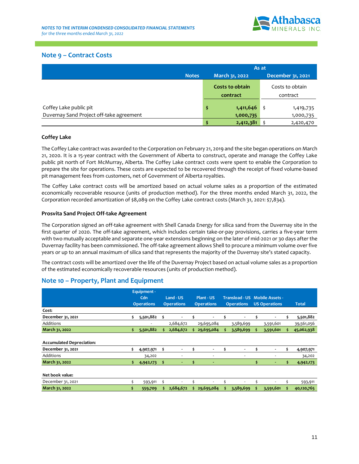

### **Note 9 – Contract Costs**

|                                          |              | As at |                 |                   |                 |  |  |  |
|------------------------------------------|--------------|-------|-----------------|-------------------|-----------------|--|--|--|
|                                          | <b>Notes</b> |       | March 31, 2022  | December 31, 2021 |                 |  |  |  |
|                                          |              |       | Costs to obtain |                   | Costs to obtain |  |  |  |
|                                          |              |       | contract        | contract          |                 |  |  |  |
| Coffey Lake public pit                   |              | \$    | 1,411,646       | \$                | 1,419,735       |  |  |  |
| Duvernay Sand Project off-take agreement |              |       | 1,000,735       |                   | 1,000,735       |  |  |  |
|                                          |              | \$    | 2,412,381       |                   | 2,420,470       |  |  |  |

### **Coffey Lake**

The Coffey Lake contract was awarded to the Corporation on February 21, 2019 and the site began operations on March 21, 2020. It is a 15-year contract with the Government of Alberta to construct, operate and manage the Coffey Lake public pit north of Fort McMurray, Alberta. The Coffey Lake contract costs were spent to enable the Corporation to prepare the site for operations. These costs are expected to be recovered through the receipt of fixed volume-based pit management fees from customers, net of Government of Alberta royalties.

The Coffey Lake contract costs will be amortized based on actual volume sales as a proportion of the estimated economically recoverable resource (units of production method). For the three months ended March 31, 2022, the Corporation recorded amortization of \$8,089 on the Coffey Lake contract costs (March 31, 2021: \$7,834).

#### **Prosvita Sand Project Off-take Agreement**

The Corporation signed an off-take agreement with Shell Canada Energy for silica sand from the Duvernay site in the first quarter of 2020. The off-take agreement, which includes certain take-or-pay provisions, carries a five-year term with two mutually acceptable and separate one-year extensions beginning on the later of mid-2021 or 30 days after the Duvernay facility has been commissioned. The off-take agreement allows Shell to procure a minimum volume over five years or up to an annual maximum of silica sand that represents the majority of the Duvernay site's stated capacity.

The contract costs will be amortized over the life of the Duvernay Project based on actual volume sales as a proportion of the estimated economically recoverable resources (units of production method).

### **Note 10 – Property, Plant and Equipment**

|                                  |    | Equipment -       |     |                   |                   |                          |                   |                |                      |                                |     |              |
|----------------------------------|----|-------------------|-----|-------------------|-------------------|--------------------------|-------------------|----------------|----------------------|--------------------------------|-----|--------------|
|                                  |    | Cdn               |     | Land - US         |                   | Plant - US               |                   |                |                      | Transload - US Mobile Assets - |     |              |
|                                  |    | <b>Operations</b> |     | <b>Operations</b> | <b>Operations</b> |                          | <b>Operations</b> |                | <b>US Operations</b> |                                |     | <b>Total</b> |
| Cost:                            |    |                   |     |                   |                   |                          |                   |                |                      |                                |     |              |
| December 31, 2021                | \$ | 5,501,882         | \$. |                   |                   | $\blacksquare$           | ¢                 | $\blacksquare$ |                      |                                | \$. | 5,501,882    |
| Additions                        |    |                   |     | 2,684,672         |                   | 29,695,084               |                   | 3,589,699      |                      | 3,591,601                      |     | 39,561,056   |
| March 31, 2022                   | \$ | 5,501,882         | s   | 2,684,672         |                   | 29,695,084               | .s                | 3,589,699      | s.                   | 3,591,601                      | Š.  | 45,062,938   |
|                                  |    |                   |     |                   |                   |                          |                   |                |                      |                                |     |              |
| <b>Accumulated Depreciation:</b> |    |                   |     |                   |                   |                          |                   |                |                      |                                |     |              |
| December 31, 2021                | \$ | 4,907,971         | \$  |                   | \$                | $\overline{\phantom{0}}$ | \$                |                | s                    |                                | \$  | 4,907,971    |
| Additions                        |    | 34,202            |     |                   |                   | ٠                        |                   |                |                      | ٠                              |     | 34,202       |
| March 31, 2022                   | s  | 4,942,173         | s   |                   | s                 | ٠                        |                   |                | s                    |                                | s   | 4,942,173    |
| Net book value:                  |    |                   |     |                   |                   |                          |                   |                |                      |                                |     |              |
| December 31, 2021                |    | 593,911           | \$  | ٠                 |                   |                          |                   |                |                      |                                |     | 593,911      |
| March 31, 2022                   | \$ | 559,709           |     | 2,684,672         |                   | 29,695,084               |                   | 3,589,699      |                      | 3,591,601                      |     | 40,120,765   |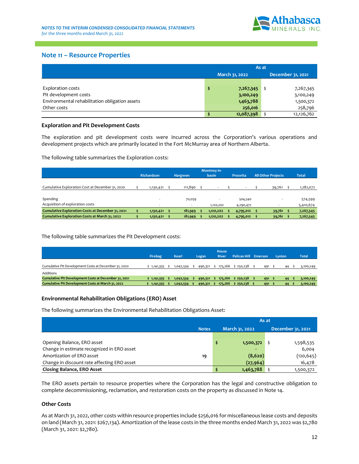

### **Note 11 – Resource Properties**

|                                                | As at |                |                   |  |  |  |  |  |
|------------------------------------------------|-------|----------------|-------------------|--|--|--|--|--|
|                                                |       | March 31, 2022 | December 31, 2021 |  |  |  |  |  |
|                                                |       |                |                   |  |  |  |  |  |
| Exploration costs                              |       | 7,267,345      | 7,267,345         |  |  |  |  |  |
| Pit development costs                          |       | 3,100,249      | 3,100,249         |  |  |  |  |  |
| Environmental rehabilitation obligation assets |       | 1,463,788      | 1,500,372         |  |  |  |  |  |
| Other costs                                    |       | 256,016        | 258,796           |  |  |  |  |  |
|                                                |       | 12,087,398     | 12,126,762        |  |  |  |  |  |

#### **Exploration and Pit Development Costs**

|                                                          | Montney in- |            |  |                |  |           |  |                 |  |                           |              |
|----------------------------------------------------------|-------------|------------|--|----------------|--|-----------|--|-----------------|--|---------------------------|--------------|
|                                                          |             | Richardson |  | <b>Hargwen</b> |  | basin     |  | <b>Prosvita</b> |  | <b>All Other Projects</b> | <b>Total</b> |
| Cumulative Exploration Cost at December 31, 2020         |             | 1,130,421  |  | 111,890        |  |           |  |                 |  | 39,761                    | 1,282,072    |
|                                                          |             |            |  |                |  |           |  |                 |  |                           |              |
| Spending                                                 |             |            |  | 70,059         |  |           |  | 504,540         |  |                           | 574,599      |
| Acquisition of exploration costs                         |             |            |  |                |  | 1,120,202 |  | 4,290,472       |  |                           | 5,410,674    |
| <b>Cumulative Exploration Costs at December 31, 2021</b> |             | 1,130,421  |  | 181,949        |  | 1,120,202 |  | 4,795,012       |  | 39,761                    | 7,267,345    |
| <b>Cumulative Exploration Costs at March 31, 2022</b>    |             | 1,130,421  |  | 181,949        |  | 1,120,202 |  | 4,795,012       |  | 39,761                    | 7,267,345    |

|                                                       | Firebag     | <b>Kearl</b>             | Logan   | <b>House</b><br><b>River</b> | Pelican Hill Emerson |        | Lynton | <b>Total</b> |
|-------------------------------------------------------|-------------|--------------------------|---------|------------------------------|----------------------|--------|--------|--------------|
| Cumulative Pit Development Costs at December 31, 2020 | \$1,141,355 | 1,042,534                | 490,321 | 175,266                      | \$250,238            | 491    | 44     | 3,100,249    |
| <b>Additions</b>                                      | $\sim$      | $\overline{\phantom{a}}$ | $\sim$  | $\sim$                       |                      | $\sim$ | $\sim$ |              |
| Cumulative Pit Development Costs at December 31, 2021 | 1,141,355   | 1,042,534                | 490,321 | 175,266                      | \$250,238            | 491    | 44     | 3,100,249    |
| Cumulative Pit Development Costs at March 31, 2022    | 1,141,355   | 1,042,534                | 490,321 | 175,266                      | \$250,238            | 491    | 44     | 3,100,249    |

#### **Environmental Rehabilitation Obligations (ERO) Asset**

|                                                                                                                                                                                                                                                                                      |                   |     |                                                 |              |                       | March 31, 2022      |           | December 31, 2021         |          |              |
|--------------------------------------------------------------------------------------------------------------------------------------------------------------------------------------------------------------------------------------------------------------------------------------|-------------------|-----|-------------------------------------------------|--------------|-----------------------|---------------------|-----------|---------------------------|----------|--------------|
|                                                                                                                                                                                                                                                                                      |                   |     |                                                 |              |                       |                     |           |                           |          |              |
| <b>Exploration costs</b>                                                                                                                                                                                                                                                             |                   |     |                                                 |              | \$                    | 7,267,345           | \$        |                           |          | 7,267,345    |
| Pit development costs                                                                                                                                                                                                                                                                |                   |     |                                                 |              |                       | 3,100,249           |           |                           |          | 3,100,249    |
| Environmental rehabilitation obligation assets                                                                                                                                                                                                                                       |                   |     |                                                 |              |                       | 1,463,788           |           |                           |          | 1,500,372    |
| Other costs                                                                                                                                                                                                                                                                          |                   |     |                                                 |              |                       | 256,016             |           |                           |          | 258,796      |
|                                                                                                                                                                                                                                                                                      |                   |     |                                                 |              | \$                    | 12,087,398          | \$        |                           |          | 12,126,762   |
| <b>Exploration and Pit Development Costs</b>                                                                                                                                                                                                                                         |                   |     |                                                 |              |                       |                     |           |                           |          |              |
| The exploration and pit development costs were incurred across the Corporation's various operations and<br>development projects which are primarily located in the Fort McMurray area of Northern Alberta.                                                                           |                   |     |                                                 |              |                       |                     |           |                           |          |              |
| The following table summarizes the Exploration costs:                                                                                                                                                                                                                                |                   |     |                                                 |              |                       |                     |           |                           |          |              |
|                                                                                                                                                                                                                                                                                      | <b>Richardson</b> |     | Hargwen                                         |              | Montney in-<br>basin  | Prosvita            |           | <b>All Other Projects</b> |          | <b>Total</b> |
|                                                                                                                                                                                                                                                                                      |                   |     |                                                 |              |                       |                     |           |                           |          |              |
| Cumulative Exploration Cost at December 31, 2020<br>\$                                                                                                                                                                                                                               | 1,130,421         | \$  | 111,890                                         | \$           |                       |                     | \$        | 39,761                    | \$       | 1,282,072    |
| Spending                                                                                                                                                                                                                                                                             |                   |     | 70,059                                          |              |                       | 504,540             |           |                           |          | 574,599      |
| Acquisition of exploration costs                                                                                                                                                                                                                                                     |                   |     |                                                 |              | 1,120,202             | 4,290,472           |           |                           |          | 5,410,674    |
| <b>Cumulative Exploration Costs at December 31, 2021</b><br>\$                                                                                                                                                                                                                       | 1,130,421         | -\$ | 181,949                                         | \$           | \$<br>1,120,202       | 4,795,012           | \$        | 39,761 \$                 |          | 7,267,345    |
| \$<br>Cumulative Exploration Costs at March 31, 2022                                                                                                                                                                                                                                 | 1,130,421         | \$  | 181,949                                         | \$           | 1,120,202             | 4,795,012           | \$        | 39,761                    | \$       | 7,267,345    |
|                                                                                                                                                                                                                                                                                      | Firebag           |     | <b>Kearl</b>                                    | Logan        | House<br><b>River</b> | <b>Pelican Hill</b> | Emerson   | Lynton                    |          | <b>Total</b> |
| Cumulative Pit Development Costs at December 31, 2020                                                                                                                                                                                                                                | $$1,141,355$ \$   |     | 1,042,534<br>\$                                 | 490,321      | \$175,266             | \$250,238<br>\$.    |           | 491<br>\$                 | 44       | 3,100,249    |
| Additions                                                                                                                                                                                                                                                                            |                   |     |                                                 |              |                       |                     |           |                           |          |              |
| Cumulative Pit Development Costs at December 31, 2021                                                                                                                                                                                                                                |                   |     | $$1,141,355$ $$1,042,534$ $$490,321$ $$175,266$ |              |                       | \$250,238<br>\$     |           | $491$ \$                  | 44<br>\$ | 3,100,249    |
| Cumulative Pit Development Costs at March 31, 2022                                                                                                                                                                                                                                   |                   |     | $$1,141,355$ $$1,042,534$ $$490,321$ $$175,266$ |              |                       | \$250,238           |           | $491$ \$                  | 44       | 3,100,249    |
| <b>Environmental Rehabilitation Obligations (ERO) Asset</b>                                                                                                                                                                                                                          |                   |     |                                                 |              |                       |                     |           |                           |          |              |
| The following summarizes the Environmental Rehabilitation Obligations Asset:                                                                                                                                                                                                         |                   |     |                                                 |              |                       |                     |           |                           |          |              |
|                                                                                                                                                                                                                                                                                      |                   |     |                                                 |              |                       |                     | As at     |                           |          |              |
|                                                                                                                                                                                                                                                                                      |                   |     |                                                 | <b>Notes</b> |                       | March 31, 2022      |           | December 31, 2021         |          |              |
|                                                                                                                                                                                                                                                                                      |                   |     |                                                 |              |                       |                     |           |                           |          |              |
| Opening Balance, ERO asset                                                                                                                                                                                                                                                           |                   |     |                                                 |              | \$                    | 1,500,372           |           | \$                        |          | 1,598,535    |
| Change in estimate recognized in ERO asset                                                                                                                                                                                                                                           |                   |     |                                                 |              |                       |                     |           |                           |          | 6,004        |
| Amortization of ERO asset                                                                                                                                                                                                                                                            |                   |     |                                                 | 19           |                       |                     | (8,620)   |                           |          | (120, 645)   |
| Change in discount rate affecting ERO asset                                                                                                                                                                                                                                          |                   |     |                                                 |              |                       |                     | (27, 964) |                           |          | 16,478       |
| <b>Closing Balance, ERO Asset</b>                                                                                                                                                                                                                                                    |                   |     |                                                 |              | \$                    | 1,463,788           |           | \$                        |          | 1,500,372    |
| The ERO assets pertain to resource properties where the Corporation has the legal and constructive obligation to<br>complete decommissioning, reclamation, and restoration costs on the property as discussed in Note 14.                                                            |                   |     |                                                 |              |                       |                     |           |                           |          |              |
| <b>Other Costs</b>                                                                                                                                                                                                                                                                   |                   |     |                                                 |              |                       |                     |           |                           |          |              |
| As at March 31, 2022, other costs within resource properties include \$256,016 for miscellaneous lease costs and deposits<br>on land (March 31, 2021: \$267,134). Amortization of the lease costs in the three months ended March 31, 2022 was \$2,780<br>(March 31, 2021: \$2,780). |                   |     |                                                 |              |                       |                     |           |                           |          |              |

#### **Other Costs**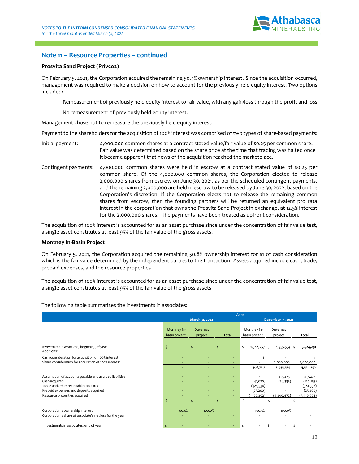

### **Note 11 – Resource Properties – continued**

#### **Prosvita Sand Project (Privco2)**

On February 5, 2021, the Corporation acquired the remaining 50.4% ownership interest. Since the acquisition occurred, management was required to make a decision on how to account for the previously held equity interest. Two options included:

Remeasurement of previously held equity interest to fair value, with any gain/loss through the profit and loss

No remeasurement of previously held equity interest.

Management chose not to remeasure the previously held equity interest.

Payment to the shareholders for the acquisition of 100% interest was comprised of two types of share-based payments:

- Initial payment: 4,000,000 common shares at a contract stated value/fair value of \$0.25 per common share. Fair value was determined based on the share price at the time that trading was halted once it became apparent that news of the acquisition reached the marketplace.
- Contingent payments: 4,000,000 common shares were held in escrow at a contract stated value of \$0.25 per common share. Of the 4,000,000 common shares, the Corporation elected to release 2,000,000 shares from escrow on June 30, 2021, as per the scheduled contingent payments, and the remaining 2,000,000 are held in escrow to be released by June 30, 2022, based on the Corporation's discretion. If the Corporation elects not to release the remaining common shares from escrow, then the founding partners will be returned an equivalent pro rata interest in the corporation that owns the Prosvita Sand Project in exchange, at 12.5% interest for the 2,000,000 shares. The payments have been treated as upfront consideration.

The acquisition of 100% interest is accounted for as an asset purchase since under the concentration of fair value test, a single asset constitutes at least 95% of the fair value of the gross assets.

#### **Montney In-Basin Project**

On February 5, 2021, the Corporation acquired the remaining 50.8% ownership interest for \$1 of cash consideration which is the fair value determined by the independent parties to the transaction. Assets acquired include cash, trade, prepaid expenses, and the resource properties.

The acquisition of 100% interest is accounted for as an asset purchase since under the concentration of fair value test, a single asset constitutes at least 95% of the fair value of the gross assets

 Montney inbasin project Duvernay project **Tota**  Montney inbasin project Duvernay project **Total**  Investment in associate, beginning of year **\$ - \$ - \$ -** \$ 1,568,757 \$ 1,955,534 **\$ 3,524,291**  Additions: Cash consideration for acquisition of 100% interest Share consideration for acquisition of 100% interest - - - - 2,000,000 2,000,000 - - - 1,568,758 3,955,534 **5,524,292**  Assumption of accounts payable and accrued liabilities - - - - 413,273 413,273 Cash acquired - - - (41,820) (78,335) (120,155) Trade and other receivables acquired (381,536) (381,536) (381,536) (381,536) Prepaid expenses and deposits acquired and the control of the control of the control of the control of the control of the control of the control of the control of the control of the control of the control of the control of Resource properties acquired and the source properties acquired  $(1,120,202)$  (4,290,472) (5,410,674) **\$ - \$ - \$ -** \$ - \$ - \$ - Corporation's ownership interest 100.0% 100.0% 100.0% 100.0% Corporation's share of associate's net loss for the year Investments in associates, end of year **A -**  $\uparrow$  **+**  $\downarrow$  **+**  $\downarrow$  +  $\downarrow$ **March 31, 2022 December 31, 2021 As at**

The following table summarizes the investments in associates: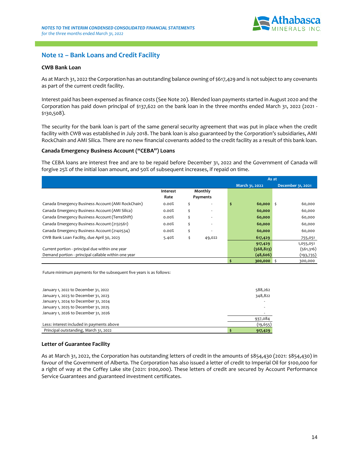

### **Note 12 – Bank Loans and Credit Facility**

#### **CWB Bank Loan**

As at March 31, 2022 the Corporation has an outstanding balance owning of \$617,429 and is not subject to any covenants as part of the current credit facility.

Interest paid has been expensed as finance costs (See Note 20). Blended loan payments started in August 2020 and the Corporation has paid down principal of \$137,622 on the bank loan in the three months ended March 31, 2022 (2021 - \$130,508).

The security for the bank loan is part of the same general security agreement that was put in place when the credit facility with CWB was established in July 2018. The bank loan is also guaranteed by the Corporation's subsidiaries, AMI RockChain and AMI Silica. There are no new financial covenants added to the credit facility as a result of this bank loan.

#### **Canada Emergency Business Account ("CEBA") Loans**

The CEBA loans are interest free and are to be repaid before December 31, 2022 and the Government of Canada will forgive 25% of the initial loan amount, and 50% of subsequent increases, if repaid on time.

|                                                     |          |    |          | As at          |                   |
|-----------------------------------------------------|----------|----|----------|----------------|-------------------|
|                                                     |          |    |          | March 31, 2022 | December 31, 2021 |
|                                                     | Interest |    | Monthly  |                |                   |
|                                                     | Rate     |    | Payments |                |                   |
| Canada Emergency Business Account (AMI RockChain)   | 0.00%    | \$ | ٠        | \$<br>60,000   | 60,000<br>\$      |
| Canada Emergency Business Account (AMI Silica)      | 0.00%    | \$ |          | 60,000         | 60,000            |
| Canada Emergency Business Account (TerraShift)      | 0.00%    | Ś  |          | 60,000         | 60,000            |
| Canada Emergency Business Account (2132561)         | 0.00%    | Ś  |          | 60,000         | 60,000            |
| Canada Emergency Business Account (2140534)         | 0.00%    | \$ |          | 60,000         | 60,000            |
| CWB Bank Loan Facility, due April 30, 2023          | 5.40%    | \$ | 49,022   | 617,429        | 755,051           |
|                                                     |          |    |          | 917,429        | 1,055,051         |
| Current portion - principal due within one year     |          |    |          | (568, 823)     | (561,316)         |
| Demand portion - principal callable within one year |          |    |          | (48, 606)      | (193, 735)        |
|                                                     |          |    |          | 300,000        | 300,000<br>-S     |

Future minimum payments for the subsequent five years is as follows:

| January 1, 2022 to December 31, 2022<br>January 1, 2023 to December 31, 2023 | 588,262<br>348,822 |
|------------------------------------------------------------------------------|--------------------|
| January 1, 2024 to December 31, 2024                                         |                    |
| January 1, 2025 to December 31, 2025                                         |                    |
| January 1, 2026 to December 31, 2026                                         |                    |
|                                                                              | 937,084            |
| Less: interest included in payments above                                    | (19, 655)          |
| Principal outstanding, March 31, 2022                                        | 917,429            |

#### **Letter of Guarantee Facility**

As at March 31, 2022, the Corporation has outstanding letters of credit in the amounts of \$854,430 (2021: \$854,430) in favour of the Government of Alberta. The Corporation has also issued a letter of credit to Imperial Oil for \$100,000 for a right of way at the Coffey Lake site (2021: \$100,000). These letters of credit are secured by Account Performance Service Guarantees and guaranteed investment certificates.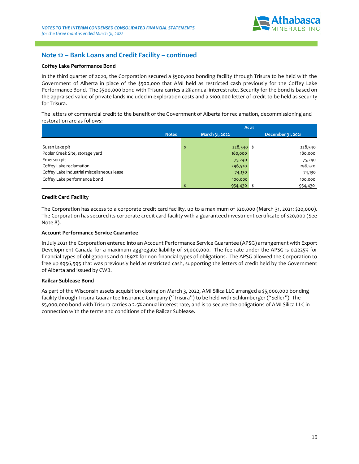

### **Note 12 – Bank Loans and Credit Facility – continued**

#### **Coffey Lake Performance Bond**

In the third quarter of 2020, the Corporation secured a \$500,000 bonding facility through Trisura to be held with the Government of Alberta in place of the \$500,000 that AMI held as restricted cash previously for the Coffey Lake Performance Bond. The \$500,000 bond with Trisura carries a 2% annual interest rate. Security for the bond is based on the appraised value of private lands included in exploration costs and a \$100,000 letter of credit to be held as security for Trisura.

The letters of commercial credit to the benefit of the Government of Alberta for reclamation, decommissioning and restoration are as follows:

|                                            | As at          |              |  |                   |  |  |
|--------------------------------------------|----------------|--------------|--|-------------------|--|--|
| <b>Notes</b>                               | March 31, 2022 |              |  | December 31, 2021 |  |  |
|                                            |                |              |  |                   |  |  |
| Susan Lake pit                             | \$             | $228,540$ \$ |  | 228,540           |  |  |
| Poplar Creek Site, storage yard            |                | 180,000      |  | 180,000           |  |  |
| Emerson pit                                |                | 75,240       |  | 75,240            |  |  |
| Coffey Lake reclamation                    |                | 296,520      |  | 296,520           |  |  |
| Coffey Lake industrial miscellaneous lease |                | 74,130       |  | 74,130            |  |  |
| Coffey Lake performance bond               |                | 100,000      |  | 100,000           |  |  |
|                                            |                | 954,430      |  | 954,430           |  |  |

#### **Credit Card Facility**

The Corporation has access to a corporate credit card facility, up to a maximum of \$20,000 (March 31, 2021: \$20,000). The Corporation has secured its corporate credit card facility with a guaranteed investment certificate of \$20,000 (See Note 8).

#### **Account Performance Service Guarantee**

In July 2021 the Corporation entered into an Account Performance Service Guarantee (APSG) arrangement with Export Development Canada for a maximum aggregate liability of \$1,000,000. The fee rate under the APSG is 0.2225% for financial types of obligations and 0.1692% for non-financial types of obligations. The APSG allowed the Corporation to free up \$956,595 that was previously held as restricted cash, supporting the letters of credit held by the Government of Alberta and issued by CWB.

#### **Railcar Sublease Bond**

As part of the Wisconsin assets acquisition closing on March 3, 2022, AMI Silica LLC arranged a \$5,000,000 bonding facility through Trisura Guarantee Insurance Company ("Trisura") to be held with Schlumberger ("Seller"). The \$5,000,000 bond with Trisura carries a 2.5% annual interest rate, and is to secure the obligations of AMI Silica LLC in connection with the terms and conditions of the Railcar Sublease.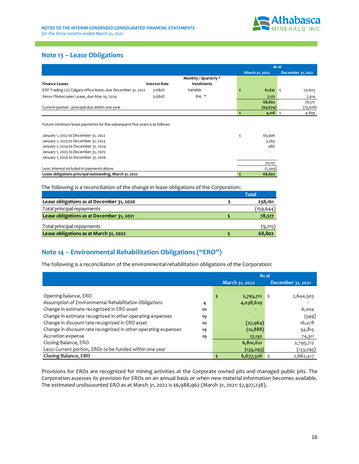

### **Note 13 – Lease Obligations**

|                                                             |               |                       | As at          |  |                   |  |
|-------------------------------------------------------------|---------------|-----------------------|----------------|--|-------------------|--|
|                                                             |               |                       | March 31, 2022 |  | December 31, 2021 |  |
|                                                             |               | Monthly / Quarterly * |                |  |                   |  |
| <b>Finance Leases</b>                                       | Interest Rate | <b>Instalments</b>    |                |  |                   |  |
| EDF Trading LLC Calgary office lease, due December 31, 2022 | 3.680%        | Variable              | $61,631$ \$    |  | 70,603            |  |
| Xerox Photocopier Lease, due May 19, 2024                   | 3.680%        | $816 *$               | 7,171          |  | 7,914             |  |
|                                                             |               |                       | 68,802         |  | 78,517            |  |
| Current portion - principal due within one year             |               |                       | (64, 674)      |  | (73, 618)         |  |
|                                                             |               |                       | 4,128          |  | 4,899             |  |

Future minimum lease payments for the subsequent five years is as follows:

| January 1, 2022 to December 31, 2022                    | 65,906  |
|---------------------------------------------------------|---------|
| January 1, 2023 to December 31, 2023                    | 3,265   |
| January 1, 2024 to December 31, 2024                    | 980     |
| January 1, 2025 to December 31, 2025                    |         |
| January 1, 2026 to December 31, 2026                    |         |
|                                                         | 70,151  |
| Less: interest included in payments above               | (1,349) |
| Lease obligations principal outstanding, March 31, 2022 | 68,802  |

The following is a reconciliation of the change in lease obligations of the Corporation:

|                                           | Total     |
|-------------------------------------------|-----------|
| Lease obligations as at December 31, 2020 | 238,161   |
| Total principal repayments                | (159,644) |
| Lease obligations as at December 31, 2021 | 78,517    |
| Total principal repayments                | (9,715)   |
| Lease obligations as at March 31, 2022    | 68.802    |

### **Note 14 – Environmental Rehabilitation Obligations ("ERO")**

The following is a reconciliation of the environmental rehabilitation obligations of the Corporation:

|                                                                |    | As at |                |                   |  |  |
|----------------------------------------------------------------|----|-------|----------------|-------------------|--|--|
|                                                                |    |       | March 31, 2022 | December 31, 2021 |  |  |
|                                                                |    |       |                |                   |  |  |
| Opening balance, ERO                                           |    | \$    | 2,795,712      | 2,644,503         |  |  |
| Assumption of Environmental Rehabilitation Obligations         | 4  |       | 4,038,629      |                   |  |  |
| Change in estimate recognized in ERO asset                     | 10 |       |                | 6,004             |  |  |
| Change in estimate recognized in other operating expenses      | 19 |       |                | (599)             |  |  |
| Change in discount rate recognized in ERO asset                | 10 |       | (27, 964)      | 16,478            |  |  |
| Change in discount rate recognized in other operating expenses | 19 |       | (12, 888)      | 54,815            |  |  |
| Accretion expense                                              | 19 |       | 17,132         | 74,511            |  |  |
| Closing Balance, ERO                                           |    |       | 6,810,621      | 2,795,712         |  |  |
| Less: Current portion, EROs to be funded within one year       |    |       | (133, 295)     | (133,295)         |  |  |
| <b>Closing Balance, ERO</b>                                    |    |       | 6,677,326      | 2,662,417         |  |  |

Provisions for EROs are recognized for mining activities at the Corporate owned pits and managed public pits. The Corporation assesses its provision for EROs on an annual basis or when new material information becomes available. The estimated undiscounted ERO as at March 31, 2022 is \$6,988,962 (March 31, 2021: \$2,927,238).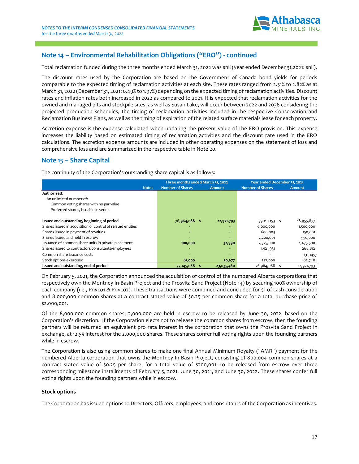

### **Note 14 – Environmental Rehabilitation Obligations ("ERO") - continued**

Total reclamation funded during the three months ended March 31, 2022 was \$nil (year ended December 31,2021: \$nil).

The discount rates used by the Corporation are based on the Government of Canada bond yields for periods comparable to the expected timing of reclamation activities at each site. These rates ranged from 2.31% to 2.82% as at March 31, 2022 (December 31, 2021: 0.49% to 1.97%) depending on the expected timing of reclamation activities. Discount rates and inflation rates both increased in 2022 as compared to 2021. It is expected that reclamation activities for the owned and managed pits and stockpile sites, as well as Susan Lake, will occur between 2022 and 2036 considering the projected production schedules, the timing of reclamation activities included in the respective Conservation and Reclamation Business Plans, as well as the timing of expiration of the related surface materials lease for each property.

Accretion expense is the expense calculated when updating the present value of the ERO provision. This expense increases the liability based on estimated timing of reclamation activities and the discount rate used in the ERO calculations. The accretion expense amounts are included in other operating expenses on the statement of loss and comprehensive loss and are summarized in the respective table in Note 20.

### **Note 15 – Share Capital**

The continuity of the Corporation's outstanding share capital is as follows:

|                                                             | Three months ended March 31, 2022 |               | Year ended December 31, 2021 |            |  |  |  |
|-------------------------------------------------------------|-----------------------------------|---------------|------------------------------|------------|--|--|--|
| <b>Notes</b>                                                | <b>Number of Shares</b>           | <b>Amount</b> | <b>Number of Shares</b>      | Amount     |  |  |  |
| Authorized:                                                 |                                   |               |                              |            |  |  |  |
| An unlimited number of:                                     |                                   |               |                              |            |  |  |  |
| Common voting shares with no par value                      |                                   |               |                              |            |  |  |  |
| Preferred shares, issuable in series                        |                                   |               |                              |            |  |  |  |
| Issued and outstanding, beginning of period                 | 76,964,088 \$                     | 22,971,793    | 59,110,153 \$                | 18,955,877 |  |  |  |
| Shares issued in acquisition of control of related entities | -                                 |               | 6,000,000                    | 1,500,000  |  |  |  |
| Shares issued in payment of royalties                       | ۰                                 | ۰.            | 600,003                      | 150,001    |  |  |  |
| Shares issued and held in escrow                            |                                   |               | 2,200,001                    | 550,000    |  |  |  |
| Issuance of common share units in private placement         | 100,000                           | 32,990        | 7,375,000                    | 1,475,500  |  |  |  |
| Shares issued to contractors/consultants/employees          | ٠                                 |               | 1,421,931                    | 268,812    |  |  |  |
| Common share issuance costs                                 | ٠                                 |               |                              | (11, 145)  |  |  |  |
| Stock options exercised                                     | 81,000                            | 30,677        | 257,000                      | 82,748     |  |  |  |
| Issued and outstanding, end of period                       | 77,145,088                        | 23,035,460    | 76,964,088                   | 22,971,793 |  |  |  |

On February 5, 2021, the Corporation announced the acquisition of control of the numbered Alberta corporations that respectively own the Montney In-Basin Project and the Prosvita Sand Project (Note 14) by securing 100% ownership of each company (i.e., Privco1 & Privco2). These transactions were combined and concluded for \$1 of cash consideration and 8,000,000 common shares at a contract stated value of \$0.25 per common share for a total purchase price of \$2,000,001.

Of the 8,000,000 common shares, 2,000,000 are held in escrow to be released by June 30, 2022, based on the Corporation's discretion. If the Corporation elects not to release the common shares from escrow, then the founding partners will be returned an equivalent pro rata interest in the corporation that owns the Prosvita Sand Project in exchange, at 12.5% interest for the 2,000,000 shares. These shares confer full voting rights upon the founding partners while in escrow.

The Corporation is also using common shares to make one final Annual Minimum Royalty ("AMR") payment for the numbered Alberta corporation that owns the Montney In-Basin Project, consisting of 800,004 common shares at a contract stated value of \$0.25 per share, for a total value of \$200,001, to be released from escrow over three corresponding milestone installments of February 5, 2021, June 30, 2021, and June 30, 2022. These shares confer full voting rights upon the founding partners while in escrow.

#### **Stock options**

The Corporation has issued options to Directors, Officers, employees, and consultants of the Corporation as incentives.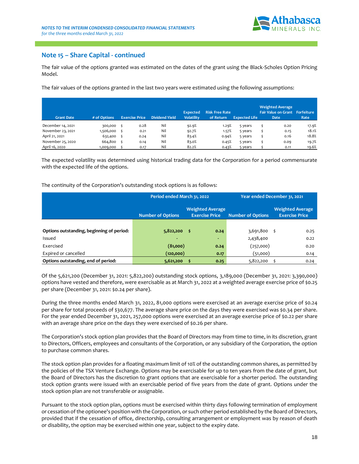

### **Note 15 – Share Capital - continued**

The fair value of the options granted was estimated on the dates of the grant using the Black-Scholes Option Pricing Model.

The fair values of the options granted in the last two years were estimated using the following assumptions:

| <b>Grant Date</b> | $#$ of Options | <b>Exercise Price</b> | <b>Dividend Yield</b> | <b>Expected</b><br><b>Volatility</b> | <b>Risk Free Rate</b><br>of Return | <b>Expected Life</b> | <b>Weighted Average</b><br><b>Fair Value on Grant</b><br><b>Date</b> | Forfeiture<br>Rate |
|-------------------|----------------|-----------------------|-----------------------|--------------------------------------|------------------------------------|----------------------|----------------------------------------------------------------------|--------------------|
| December 14, 2021 | 300,000        | 0.28                  | Nil                   | 92.9%                                | 1.29%                              | 5 years              | 0.20                                                                 | 17.9%              |
| November 23, 2021 | 1,506,000      | 0.21                  | Nil                   | 92.7%                                | 1.57%                              | 5 years              | 0.15                                                                 | 18.1%              |
| April 21, 2021    | 632,400        | 0.24                  | Nil                   | 83.4%                                | 0.94%                              | 5 years              | 0.16                                                                 | 18.8%              |
| November 25, 2020 | 664,800        | 0.14                  | Nil                   | 83.0%                                | 0.45%                              | 5 years              | 0.09                                                                 | 19.7%              |
| April 16, 2020    | 1,009,000      | 0.17                  | Nil                   | 82.2%                                | 0.43%                              | 5 years              | 0.11                                                                 | 19.6%              |

The expected volatility was determined using historical trading data for the Corporation for a period commensurate with the expected life of the options.

#### The continuity of the Corporation's outstanding stock options is as follows:

|                                           | Period ended March 31, 2022 |                                                  | Year ended December 31, 2021 |                                                  |  |  |  |
|-------------------------------------------|-----------------------------|--------------------------------------------------|------------------------------|--------------------------------------------------|--|--|--|
|                                           | <b>Number of Options</b>    | <b>Weighted Average</b><br><b>Exercise Price</b> | <b>Number of Options</b>     | <b>Weighted Average</b><br><b>Exercise Price</b> |  |  |  |
|                                           |                             |                                                  |                              |                                                  |  |  |  |
| Options outstanding, beginning of period: | $5,822,200$ \$              | 0.24                                             | $3,691,800$ \$               | 0.25                                             |  |  |  |
| Issued                                    |                             |                                                  | 2,438,400                    | 0.22                                             |  |  |  |
| Exercised                                 | (81,000)                    | 0.24                                             | (257,000)                    | 0.20                                             |  |  |  |
| Expired or cancelled                      | (120,000)                   | 0.17                                             | (51,000)                     | 0.14                                             |  |  |  |
| Options outstanding, end of period:       | 5,621,200                   | 0.25                                             | 5,822,200                    | 0.24                                             |  |  |  |

Of the 5,621,200 (December 31, 2021: 5,822,200) outstanding stock options, 3,189,000 (December 31, 2021: 3,390,000) options have vested and therefore, were exercisable as at March 31, 2022 at a weighted average exercise price of \$0.25 per share (December 31, 2021: \$0.24 per share).

During the three months ended March 31, 2022, 81,000 options were exercised at an average exercise price of \$0.24 per share for total proceeds of \$30,677. The average share price on the days they were exercised was \$0.34 per share. For the year ended December 31, 2021, 257,000 options were exercised at an average exercise price of \$0.22 per share with an average share price on the days they were exercised of \$0.26 per share.

The Corporation's stock option plan provides that the Board of Directors may from time to time, in its discretion, grant to Directors, Officers, employees and consultants of the Corporation, or any subsidiary of the Corporation, the option to purchase common shares.

The stock option plan provides for a floating maximum limit of 10% of the outstanding common shares, as permitted by the policies of the TSX Venture Exchange. Options may be exercisable for up to ten years from the date of grant, but the Board of Directors has the discretion to grant options that are exercisable for a shorter period. The outstanding stock option grants were issued with an exercisable period of five years from the date of grant. Options under the stock option plan are not transferable or assignable.

Pursuant to the stock option plan, options must be exercised within thirty days following termination of employment or cessation of the optionee's position with the Corporation, or such other period established by the Board of Directors, provided that if the cessation of office, directorship, consulting arrangement or employment was by reason of death or disability, the option may be exercised within one year, subject to the expiry date.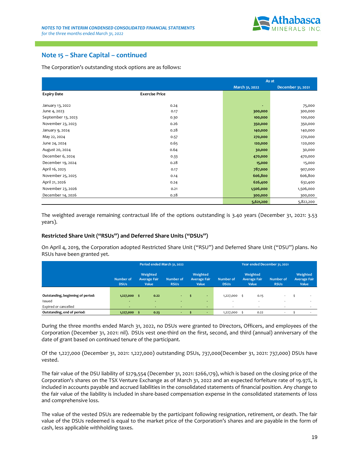

### **Note 15 – Share Capital – continued**

The Corporation's outstanding stock options are as follows:

|                    |                       | As at          |                   |  |
|--------------------|-----------------------|----------------|-------------------|--|
|                    |                       | March 31, 2022 | December 31, 2021 |  |
| <b>Expiry Date</b> | <b>Exercise Price</b> |                |                   |  |
|                    |                       |                |                   |  |
| January 13, 2022   | 0.24                  |                | 75,000            |  |
| June 4, 2023       | 0.17                  | 300,000        | 300,000           |  |
| September 13, 2023 | 0.30                  | 100,000        | 100,000           |  |
| November 23, 2023  | 0.26                  | 350,000        | 350,000           |  |
| January 9, 2024    | 0.28                  | 140,000        | 140,000           |  |
| May 22, 2024       | 0.57                  | 270,000        | 270,000           |  |
| June 24, 2024      | 0.65                  | 120,000        | 120,000           |  |
| August 20, 2024    | 0.64                  | 30,000         | 30,000            |  |
| December 6, 2024   | 0.33                  | 470,000        | 470,000           |  |
| December 19, 2024  | 0.28                  | 15,000         | 15,000            |  |
| April 16, 2025     | 0.17                  | 787,000        | 907,000           |  |
| November 25, 2025  | 0.14                  | 606,800        | 606,800           |  |
| April 21, 2026     | 0.24                  | 626,400        | 632,400           |  |
| November 23, 2026  | 0.21                  | 1,506,000      | 1,506,000         |  |
| December 14, 2026  | 0.28                  | 300,000        | 300,000           |  |
|                    |                       | 5,621,200      | 5,822,200         |  |

The weighted average remaining contractual life of the options outstanding is 3.40 years (December 31, 2021: 3.53 years).

#### **Restricted Share Unit ("RSUs") and Deferred Share Units ("DSUs")**

On April 4, 2019, the Corporation adopted Restricted Share Unit ("RSU") and Deferred Share Unit ("DSU") plans. No RSUs have been granted yet.

|                                   |                                 | Period ended March 31, 2022              |                          |                                          |                          | Year ended December 31, 2021             |                                 |                                          |  |  |
|-----------------------------------|---------------------------------|------------------------------------------|--------------------------|------------------------------------------|--------------------------|------------------------------------------|---------------------------------|------------------------------------------|--|--|
|                                   | <b>Number of</b><br><b>DSUs</b> | Weighted<br><b>Average Fair</b><br>Value | Number of<br><b>RSUs</b> | Weighted<br><b>Average Fair</b><br>Value | Number of<br><b>DSUs</b> | Weighted<br><b>Average Fair</b><br>Value | <b>Number of</b><br><b>RSUs</b> | Weighted<br><b>Average Fair</b><br>Value |  |  |
|                                   |                                 |                                          |                          |                                          |                          |                                          |                                 |                                          |  |  |
| Outstanding, beginning of period: | 1,227,000                       | 0.22<br>-\$                              | $\sim$                   | $\sim$                                   | 1,227,000                | 0.15                                     | $\sim$                          |                                          |  |  |
| Issued                            |                                 | <b>.</b>                                 |                          | $\sim$                                   |                          |                                          | $\sim$                          |                                          |  |  |
| Expired or cancelled              |                                 | ۰                                        |                          | $\sim$                                   |                          | $\overline{\phantom{a}}$                 | $\overline{\phantom{a}}$        |                                          |  |  |
| Outstanding, end of period:       | 1,227,000                       | 0.23<br>- 5                              | $\sim$                   | <b>.</b>                                 | 1,227,000                | 0.22                                     | $\sim$                          |                                          |  |  |

During the three months ended March 31, 2022, no DSUs were granted to Directors, Officers, and employees of the Corporation (December 31, 2021: nil). DSUs vest one-third on the first, second, and third (annual) anniversary of the date of grant based on continued tenure of the participant.

Of the 1,227,000 (December 31, 2021: 1,227,000) outstanding DSUs, 737,000(December 31, 2021: 737,000) DSUs have vested.

The fair value of the DSU liability of \$279,554 (December 31, 2021: \$266,179), which is based on the closing price of the Corporation's shares on the TSX Venture Exchange as of March 31, 2022 and an expected forfeiture rate of 19.97%, is included in accounts payable and accrued liabilities in the consolidated statements of financial position. Any change to the fair value of the liability is included in share-based compensation expense in the consolidated statements of loss and comprehensive loss.

The value of the vested DSUs are redeemable by the participant following resignation, retirement, or death. The fair value of the DSUs redeemed is equal to the market price of the Corporation's shares and are payable in the form of cash, less applicable withholding taxes.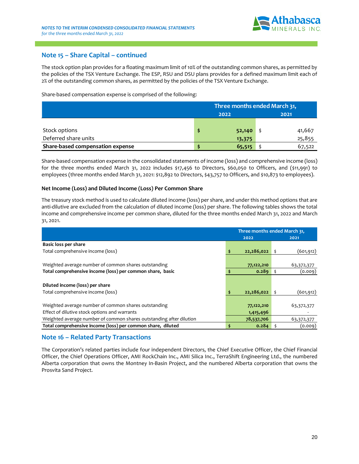

### **Note 15 – Share Capital – continued**

The stock option plan provides for a floating maximum limit of 10% of the outstanding common shares, as permitted by the policies of the TSX Venture Exchange. The ESP, RSU and DSU plans provides for a defined maximum limit each of 2% of the outstanding common shares, as permitted by the policies of the TSX Venture Exchange.

Share-based compensation expense is comprised of the following:

|                                  | Three months ended March 31, |        |  |        |  |
|----------------------------------|------------------------------|--------|--|--------|--|
|                                  |                              | 2022   |  | 2021   |  |
|                                  |                              |        |  |        |  |
| Stock options                    |                              | 52,140 |  | 41,667 |  |
| Deferred share units             |                              | 13,375 |  | 25,855 |  |
| Share-based compensation expense |                              | 65,515 |  | 67,522 |  |

Share-based compensation expense in the consolidated statements of income (loss) and comprehensive income (loss) for the three months ended March 31, 2022 includes \$17,456 to Directors, \$60,050 to Officers, and (\$11,991) to employees (three months ended March 31, 2021: \$12,892 to Directors, \$43,757 to Officers, and \$10,873 to employees).

#### **Net Income (Loss) and Diluted Income (Loss) Per Common Share**

The treasury stock method is used to calculate diluted income (loss) per share, and under this method options that are anti-dilutive are excluded from the calculation of diluted income (loss) per share. The following tables shows the total income and comprehensive income per common share, diluted for the three months ended March 31, 2022 and March 31, 2021.

|                                                                     | Three months ended March 31, |  |            |  |
|---------------------------------------------------------------------|------------------------------|--|------------|--|
|                                                                     | 2022                         |  | 2021       |  |
| <b>Basic loss per share</b>                                         |                              |  |            |  |
| Total comprehensive income (loss)                                   | 22,286,022                   |  | (601, 912) |  |
|                                                                     |                              |  |            |  |
| Weighted average number of common shares outstanding                | 77,122,210                   |  | 63,372,377 |  |
| Total comprehensive income (loss) per common share, basic           | 0.289                        |  | (0.009)    |  |
|                                                                     |                              |  |            |  |
| Diluted income (loss) per share                                     |                              |  |            |  |
| Total comprehensive income (loss)                                   | 22,286,022                   |  | (601, 912) |  |
|                                                                     |                              |  |            |  |
| Weighted average number of common shares outstanding                | 77,122,210                   |  | 63,372,377 |  |
| Effect of dilutive stock options and warrants                       | 1,415,496                    |  |            |  |
| Weighted average number of common shares outstanding after dilution | 78,537,706                   |  | 63,372,377 |  |
| Total comprehensive income (loss) per common share, diluted         | \$<br>0.284                  |  | (0.009)    |  |

### **Note 16 – Related Party Transactions**

The Corporation's related parties include four independent Directors, the Chief Executive Officer, the Chief Financial Officer, the Chief Operations Officer, AMI RockChain Inc., AMI Silica Inc., TerraShift Engineering Ltd., the numbered Alberta corporation that owns the Montney In-Basin Project, and the numbered Alberta corporation that owns the Prosvita Sand Project.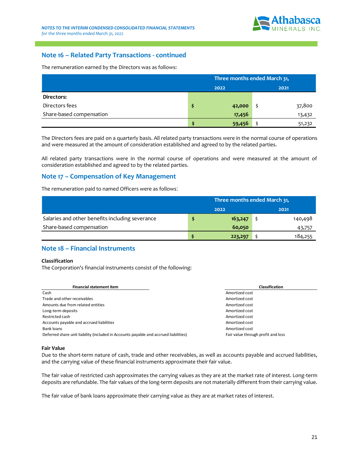

### **Note 16 – Related Party Transactions - continued**

The remuneration earned by the Directors was as follows:

|                          | Three months ended March 31, |        |  |        |  |
|--------------------------|------------------------------|--------|--|--------|--|
|                          |                              | 2022   |  | 2021   |  |
| Directors:               |                              |        |  |        |  |
| Directors fees           |                              | 42,000 |  | 37,800 |  |
| Share-based compensation |                              | 17,456 |  | 13,432 |  |
|                          |                              | 59,456 |  | 51,232 |  |

The Directors fees are paid on a quarterly basis. All related party transactions were in the normal course of operations and were measured at the amount of consideration established and agreed to by the related parties.

All related party transactions were in the normal course of operations and were measured at the amount of consideration established and agreed to by the related parties.

### **Note 17 – Compensation of Key Management**

The remuneration paid to named Officers were as follows:

|                                                 | Three months ended March 31, |         |  |         |  |  |
|-------------------------------------------------|------------------------------|---------|--|---------|--|--|
|                                                 |                              | 2022    |  | 2021    |  |  |
| Salaries and other benefits including severance |                              | 163,247 |  | 140,498 |  |  |
| Share-based compensation                        |                              | 60,050  |  | 43,757  |  |  |
|                                                 |                              | 223,297 |  | 184,255 |  |  |

### **Note 18 – Financial Instruments**

#### **Classification**

The Corporation's financial instruments consist of the following:

| <b>Financial statement item</b>                                                      | <b>Classification</b>              |
|--------------------------------------------------------------------------------------|------------------------------------|
| Cash                                                                                 | Amortized cost                     |
| Trade and other receivables                                                          | Amortized cost                     |
| Amounts due from related entities                                                    | Amortized cost                     |
| Long-term deposits                                                                   | Amortized cost                     |
| Restricted cash                                                                      | Amortized cost                     |
| Accounts payable and accrued liabilities                                             | Amortized cost                     |
| Bank loans                                                                           | Amortized cost                     |
| Deferred share unit liability (included in Accounts payable and accrued liabilities) | Fair value through profit and loss |

#### **Fair Value**

Due to the short-term nature of cash, trade and other receivables, as well as accounts payable and accrued liabilities, and the carrying value of these financial instruments approximate their fair value.

The fair value of restricted cash approximates the carrying values as they are at the market rate of interest. Long-term deposits are refundable. The fair values of the long-term deposits are not materially different from their carrying value.

The fair value of bank loans approximate their carrying value as they are at market rates of interest.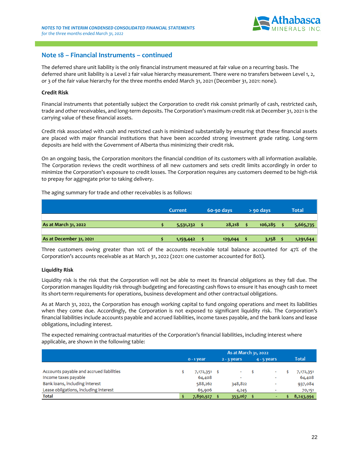

### **Note 18 – Financial Instruments – continued**

The deferred share unit liability is the only financial instrument measured at fair value on a recurring basis. The deferred share unit liability is a Level 2 fair value hierarchy measurement. There were no transfers between Level 1, 2, or 3 of the fair value hierarchy for the three months ended March 31, 2021 (December 31, 2021: none).

#### **Credit Risk**

Financial instruments that potentially subject the Corporation to credit risk consist primarily of cash, restricted cash, trade and other receivables, and long-term deposits. The Corporation's maximum credit risk at December 31, 2021 is the carrying value of these financial assets.

Credit risk associated with cash and restricted cash is minimized substantially by ensuring that these financial assets are placed with major financial institutions that have been accorded strong investment grade rating. Long-term deposits are held with the Government of Alberta thus minimizing their credit risk.

On an ongoing basis, the Corporation monitors the financial condition of its customers with all information available. The Corporation reviews the credit worthiness of all new customers and sets credit limits accordingly in order to minimize the Corporation's exposure to credit losses. The Corporation requires any customers deemed to be high-risk to prepay for aggregate prior to taking delivery.

The aging summary for trade and other receivables is as follows:

|                         | Current   |  | 60-90 days | $>$ 90 days |         |  | <b>Total</b> |
|-------------------------|-----------|--|------------|-------------|---------|--|--------------|
| As at March 31, 2022    | 5,531,232 |  | 28,218     |             | 106,285 |  | 5,665,735    |
| As at December 31, 2021 | 1,159,442 |  | 129,044    |             | 3,158   |  | 1,291,644    |

Three customers owing greater than 10% of the accounts receivable total balance accounted for 47% of the Corporation's accounts receivable as at March 31, 2022 (2021: one customer accounted for 80%).

#### **Liquidity Risk**

Liquidity risk is the risk that the Corporation will not be able to meet its financial obligations as they fall due. The Corporation manages liquidity risk through budgeting and forecasting cash flows to ensure it has enough cash to meet its short-term requirements for operations, business development and other contractual obligations.

As at March 31, 2022, the Corporation has enough working capital to fund ongoing operations and meet its liabilities when they come due. Accordingly, the Corporation is not exposed to significant liquidity risk. The Corporation's financial liabilities include accounts payable and accrued liabilities, income taxes payable, and the bank loans and lease obligations, including interest.

The expected remaining contractual maturities of the Corporation's financial liabilities, including interest where applicable, are shown in the following table:

|                                          | As at March 31, 2022 |  |                          |  |                          |  |           |
|------------------------------------------|----------------------|--|--------------------------|--|--------------------------|--|-----------|
|                                          | $0 - 1$ year         |  | $2 - 3$ years            |  | $4 - 5$ years            |  | Total     |
|                                          |                      |  |                          |  |                          |  |           |
| Accounts payable and accrued liabilities | 7,172,351 \$         |  |                          |  | $\overline{\phantom{0}}$ |  | 7,172,351 |
| Income taxes payable                     | 64,408               |  | $\overline{\phantom{a}}$ |  | $\overline{\phantom{a}}$ |  | 64,408    |
| Bank loans, including interest           | 588,262              |  | 348,822                  |  | ۰                        |  | 937,084   |
| Lease obligations, including interest    | 65,906               |  | 4,245                    |  | $\overline{\phantom{0}}$ |  | 70,151    |
| <b>Total</b>                             | 7,890,927            |  | 353,067                  |  |                          |  | 8,243,994 |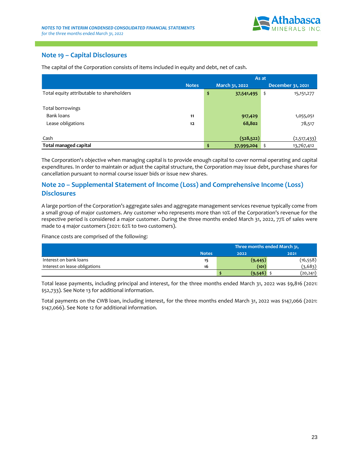

### **Note 19 – Capital Disclosures**

|                                           |              | As at |                |                    |  |  |  |
|-------------------------------------------|--------------|-------|----------------|--------------------|--|--|--|
|                                           | <b>Notes</b> |       | March 31, 2022 | December 31, 2021  |  |  |  |
| Total equity attributable to shareholders |              | \$    | 37,541,495     | \$<br>15, 151, 277 |  |  |  |
| Total borrowings                          |              |       |                |                    |  |  |  |
| Bank loans                                | 11           |       | 917,429        | 1,055,051          |  |  |  |
| Lease obligations                         | 12           |       | 68,802         | 78,517             |  |  |  |
| Cash                                      |              |       | (528, 522)     | (2,517,433)        |  |  |  |
| <b>Total managed capital</b>              |              | \$    | 37,999,204     | 13,767,412<br>\$   |  |  |  |

The capital of the Corporation consists of items included in equity and debt, net of cash.

The Corporation's objective when managing capital is to provide enough capital to cover normal operating and capital expenditures. In order to maintain or adjust the capital structure, the Corporation may issue debt, purchase shares for cancellation pursuant to normal course issuer bids or issue new shares.

### **Note 20 – Supplemental Statement of Income (Loss) and Comprehensive Income (Loss) Disclosures**

A large portion of the Corporation's aggregate sales and aggregate management services revenue typically come from a small group of major customers. Any customer who represents more than 10% of the Corporation's revenue for the respective period is considered a major customer. During the three months ended March 31, 2022, 77% of sales were made to 4 major customers (2021: 62% to two customers).

Finance costs are comprised of the following:

|                               |              | Three months ended March 31, |           |  |  |  |  |
|-------------------------------|--------------|------------------------------|-----------|--|--|--|--|
|                               | <b>Notes</b> | 2022                         | 2021      |  |  |  |  |
| Interest on bank loans        | 15           | (9, 445)                     | (16, 558) |  |  |  |  |
| Interest on lease obligations | 16           | (101)                        | (3, 683)  |  |  |  |  |
|                               |              | (9, 546)                     | (20,241)  |  |  |  |  |

Total lease payments, including principal and interest, for the three months ended March 31, 2022 was \$9,816 (2021: \$52,733). See Note 13 for additional information.

Total payments on the CWB loan, including interest, for the three months ended March 31, 2022 was \$147,066 (2021: \$147,066). See Note 12 for additional information.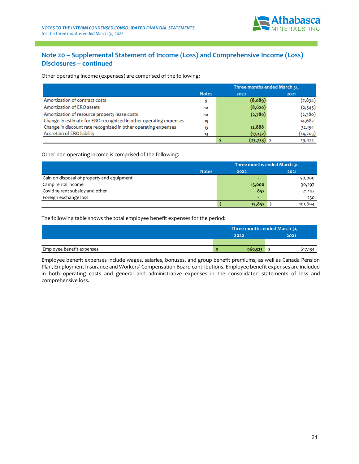

### **Note 20 – Supplemental Statement of Income (Loss) and Comprehensive Income (Loss) Disclosures – continued**

Other operating income (expenses) are comprised of the following:

|                                                                   |              | Three months ended March 31, |            |
|-------------------------------------------------------------------|--------------|------------------------------|------------|
|                                                                   | <b>Notes</b> | 2022                         | 2021       |
| Amortization of contract costs                                    | 9            | (8,089)                      | (7, 8, 34) |
| Amortization of ERO assets                                        | 10           | (8,620)                      | (2, 545)   |
| Amortization of resource property lease costs                     | 10           | (2,780)                      | (2,780)    |
| Change in estimate for ERO recognized in other operating expenses | 13           |                              | 14,682     |
| Change in discount rate recognized in other operating expenses    | 13           | 12,888                       | 32,154     |
| Accretion of ERO liability                                        | 13           | (17, 132)                    | (14, 205)  |
|                                                                   |              | (23,733)                     | 19,472     |

Other non-operating income is comprised of the following:

|                                            | Three months ended March 31, |         |  |  |  |
|--------------------------------------------|------------------------------|---------|--|--|--|
| <b>Notes</b>                               | 2022                         | 2021    |  |  |  |
| Gain on disposal of property and equipment |                              | 50,000  |  |  |  |
| Camp rental income                         | 15,000                       | 30,297  |  |  |  |
| Covid 19 rent subsidy and other            | 857                          | 21,147  |  |  |  |
| Foreign exchange loss                      | $\overline{\phantom{0}}$     | 250     |  |  |  |
|                                            | 15,857                       | 101,694 |  |  |  |

The following table shows the total employee benefit expenses for the period:

|                           | Three months ended March 31, |         |  |  |  |  |
|---------------------------|------------------------------|---------|--|--|--|--|
|                           | 2022                         | 2021    |  |  |  |  |
|                           |                              |         |  |  |  |  |
| Employee benefit expenses | 960,323                      | 617,134 |  |  |  |  |

Employee benefit expenses include wages, salaries, bonuses, and group benefit premiums, as well as Canada Pension Plan, Employment Insurance and Workers' Compensation Board contributions. Employee benefit expenses are included in both operating costs and general and administrative expenses in the consolidated statements of loss and comprehensive loss.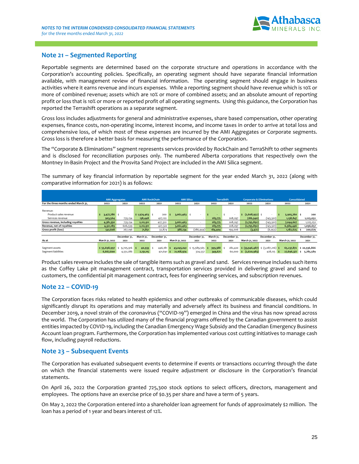

### **Note 21 – Segmented Reporting**

Reportable segments are determined based on the corporate structure and operations in accordance with the Corporation's accounting policies. Specifically, an operating segment should have separate financial information available, with management review of financial information. The operating segment should engage in business activities where it earns revenue and incurs expenses. While a reporting segment should have revenue which is 10% or more of combined revenue; assets which are 10% or more of combined assets; and an absolute amount of reporting profit or loss that is 10% or more or reported profit of all operating segments. Using this guidance, the Corporation has reported the Terrashift operations as a separate segment.

Gross loss includes adjustments for general and administrative expenses, share based compensation, other operating expenses, finance costs, non-operating income, interest income, and income taxes in order to arrive at total loss and comprehensive loss, of which most of these expenses are incurred by the AMI Aggregates or Corporate segments. Gross loss is therefore a better basis for measuring the performance of the Corporation.

The "Corporate & Eliminations" segment represents services provided by RockChain and TerraShift to other segments and is disclosed for reconciliation purposes only. The numbered Alberta corporations that respectively own the Montney In-Basin Project and the Prosvita Sand Project are included in the AMI Silica segment.

The summary of key financial information by reportable segment for the year ended March 31, 2022 (along with comparative information for 2021) is as follows:

|                                      | AMI Aggregates | <b>AMI RockChain</b> |             | <b>AMI Silica</b> |                |              | <b>TerraShift</b> | <b>Corporate &amp; Eliminations</b> |                                                     | Consolidated |                |              |
|--------------------------------------|----------------|----------------------|-------------|-------------------|----------------|--------------|-------------------|-------------------------------------|-----------------------------------------------------|--------------|----------------|--------------|
| For the three months ended March 31. | 2022           | 2021                 | 2022        | 2021              | 2022           | 2021         | 2022              | 2021                                | 2022                                                | 2021         | 2022           | 2021         |
|                                      |                |                      |             |                   |                |              |                   |                                     |                                                     |              |                |              |
| Revenue:                             |                |                      |             |                   |                |              |                   |                                     |                                                     |              |                |              |
| Product sales revenue                | $3,477,786$ \$ |                      | \$1,974,463 | 200               | $3,062,463$ \$ |              |                   |                                     | $\frac{1}{2}$ (2,608,952) \$                        |              | 5,905,760 \$   | 200          |
| Services revenue                     | 903,564        | 735,134              | 138,448     | 427,122           |                |              | 283,775           | 208,297                             | (186, 940)                                          | (145, 501)   | 1,138,847      | 1,225,052    |
| Gross revenue, including royalties   | 4,381,350      | 735,134              | 2,112,911   | 427,322           | 3,062,463      | $\sim$       | 283,775           | 208,297                             | (2,795,892)                                         | (145, 501)   | 7,044,607      | 1,225,252    |
| Revenue, net of rovalties            | 4,321,189      | 606,539              | 2,112,911   | 427,322           | 3,062,463      |              | 283,775           | 208,297                             | (2,795,892)                                         | (145, 501)   | 6,984,446      | 1,096,657    |
| Gross profit (loss)                  | 541,608        | 267,196              | 71,851      | 32,874            | 388,234        | (286, 444)   | 184,404           | 194,006                             | (3, 472)                                            | (6, 953)     | 1,182,625      | 200,679      |
|                                      |                |                      |             |                   |                |              |                   |                                     |                                                     |              |                |              |
|                                      |                | December 31,         | March 31,   | December 31,      |                | December 31, | March 31.         | December 31,                        |                                                     | December 31, |                | December 31, |
| As at                                | March 31, 2022 | 2021                 | 2022        | 2021              | March 31, 2022 | 2021         | 2022              | 2021                                | March 31, 2022                                      | 2021         | March 31, 2022 | 2021         |
|                                      |                |                      |             |                   |                |              |                   |                                     |                                                     |              |                |              |
| Segment assets                       | \$55,698,997   | 9,705,916 \$         | 40,933      | 446,181           | 43,045,041     | \$13,589,565 | 399,388 \$        | 282,420                             | $\sharp$ (33,946,487) $\sharp$ (3,087,216) $\sharp$ |              | 65,237,872     | \$20,936,866 |
| Segment liabilities                  | 6,667,600      | 4,551,286            | 2,131,115   | $421,641$ \$      | 21,168,974     | 324,537      | 349,671           |                                     | $60,000 \quad $ (2,620,983)$                        | $428,125$ \$ | 27,696,377     | 5,785,589    |

Product sales revenue includes the sale of tangible items such as gravel and sand. Services revenue includes such items as the Coffey Lake pit management contract, transportation services provided in delivering gravel and sand to customers, the confidential pit management contract, fees for engineering services, and subscription revenues.

### **Note 22 – COVID-19**

The Corporation faces risks related to health epidemics and other outbreaks of communicable diseases, which could significantly disrupt its operations and may materially and adversely affect its business and financial conditions. In December 2019, a novel strain of the coronavirus ("COVID-19") emerged in China and the virus has now spread across the world. The Corporation has utilized many of the financial programs offered by the Canadian government to assist entities impacted by COVID-19, including the Canadian Emergency Wage Subsidy and the Canadian Emergency Business Account loan program. Furthermore, the Corporation has implemented various cost cutting initiatives to manage cash flow, including payroll reductions.

### **Note 23 – Subsequent Events**

The Corporation has evaluated subsequent events to determine if events or transactions occurring through the date on which the financial statements were issued require adjustment or disclosure in the Corporation's financial statements.

On April 26, 2022 the Corporation granted 725,300 stock options to select officers, directors, management and employees. The options have an exercise price of \$0.35 per share and have a term of 5 years.

On May 2, 2022 the Corporation entered into a shareholder loan agreement for funds of approximately \$2 million. The loan has a period of 1 year and bears interest of 12%.